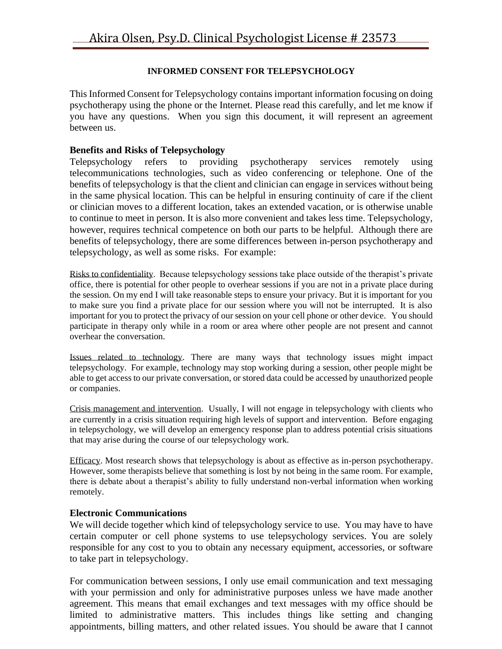#### **INFORMED CONSENT FOR TELEPSYCHOLOGY**

This Informed Consent for Telepsychology contains important information focusing on doing psychotherapy using the phone or the Internet. Please read this carefully, and let me know if you have any questions. When you sign this document, it will represent an agreement between us.

#### **Benefits and Risks of Telepsychology**

Telepsychology refers to providing psychotherapy services remotely using telecommunications technologies, such as video conferencing or telephone. One of the benefits of telepsychology is that the client and clinician can engage in services without being in the same physical location. This can be helpful in ensuring continuity of care if the client or clinician moves to a different location, takes an extended vacation, or is otherwise unable to continue to meet in person. It is also more convenient and takes less time. Telepsychology, however, requires technical competence on both our parts to be helpful. Although there are benefits of telepsychology, there are some differences between in-person psychotherapy and telepsychology, as well as some risks. For example:

Risks to confidentiality. Because telepsychology sessions take place outside of the therapist's private office, there is potential for other people to overhear sessions if you are not in a private place during the session. On my end I will take reasonable steps to ensure your privacy. But it is important for you to make sure you find a private place for our session where you will not be interrupted. It is also important for you to protect the privacy of our session on your cell phone or other device. You should participate in therapy only while in a room or area where other people are not present and cannot overhear the conversation.

Issues related to technology. There are many ways that technology issues might impact telepsychology. For example, technology may stop working during a session, other people might be able to get access to our private conversation, or stored data could be accessed by unauthorized people or companies.

Crisis management and intervention. Usually, I will not engage in telepsychology with clients who are currently in a crisis situation requiring high levels of support and intervention. Before engaging in telepsychology, we will develop an emergency response plan to address potential crisis situations that may arise during the course of our telepsychology work.

Efficacy. Most research shows that telepsychology is about as effective as in-person psychotherapy. However, some therapists believe that something is lost by not being in the same room. For example, there is debate about a therapist's ability to fully understand non-verbal information when working remotely.

#### **Electronic Communications**

We will decide together which kind of telepsychology service to use. You may have to have certain computer or cell phone systems to use telepsychology services. You are solely responsible for any cost to you to obtain any necessary equipment, accessories, or software to take part in telepsychology.

For communication between sessions, I only use email communication and text messaging with your permission and only for administrative purposes unless we have made another agreement. This means that email exchanges and text messages with my office should be limited to administrative matters. This includes things like setting and changing appointments, billing matters, and other related issues. You should be aware that I cannot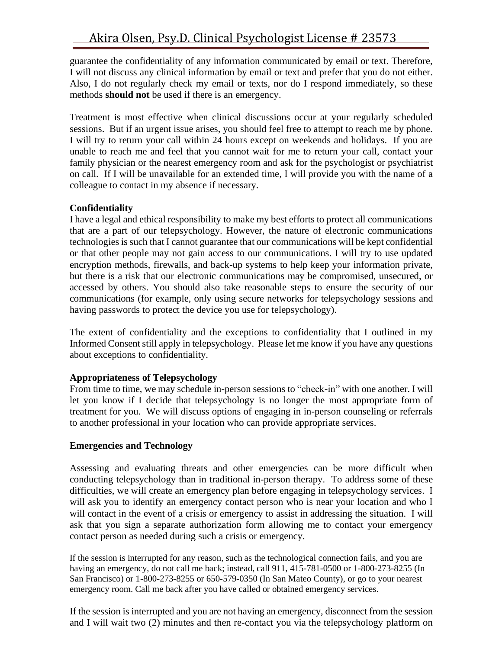guarantee the confidentiality of any information communicated by email or text. Therefore, I will not discuss any clinical information by email or text and prefer that you do not either. Also, I do not regularly check my email or texts, nor do I respond immediately, so these methods **should not** be used if there is an emergency.

Treatment is most effective when clinical discussions occur at your regularly scheduled sessions. But if an urgent issue arises, you should feel free to attempt to reach me by phone. I will try to return your call within 24 hours except on weekends and holidays. If you are unable to reach me and feel that you cannot wait for me to return your call, contact your family physician or the nearest emergency room and ask for the psychologist or psychiatrist on call. If I will be unavailable for an extended time, I will provide you with the name of a colleague to contact in my absence if necessary.

# **Confidentiality**

I have a legal and ethical responsibility to make my best efforts to protect all communications that are a part of our telepsychology. However, the nature of electronic communications technologies is such that I cannot guarantee that our communications will be kept confidential or that other people may not gain access to our communications. I will try to use updated encryption methods, firewalls, and back-up systems to help keep your information private, but there is a risk that our electronic communications may be compromised, unsecured, or accessed by others. You should also take reasonable steps to ensure the security of our communications (for example, only using secure networks for telepsychology sessions and having passwords to protect the device you use for telepsychology).

The extent of confidentiality and the exceptions to confidentiality that I outlined in my Informed Consent still apply in telepsychology. Please let me know if you have any questions about exceptions to confidentiality.

### **Appropriateness of Telepsychology**

From time to time, we may schedule in-person sessions to "check-in" with one another. I will let you know if I decide that telepsychology is no longer the most appropriate form of treatment for you. We will discuss options of engaging in in-person counseling or referrals to another professional in your location who can provide appropriate services.

# **Emergencies and Technology**

Assessing and evaluating threats and other emergencies can be more difficult when conducting telepsychology than in traditional in-person therapy. To address some of these difficulties, we will create an emergency plan before engaging in telepsychology services. I will ask you to identify an emergency contact person who is near your location and who I will contact in the event of a crisis or emergency to assist in addressing the situation. I will ask that you sign a separate authorization form allowing me to contact your emergency contact person as needed during such a crisis or emergency.

If the session is interrupted for any reason, such as the technological connection fails, and you are having an emergency, do not call me back; instead, call 911, 415-781-0500 or 1-800-273-8255 (In San Francisco) or 1-800-273-8255 or 650-579-0350 (In San Mateo County), or go to your nearest emergency room. Call me back after you have called or obtained emergency services.

If the session is interrupted and you are not having an emergency, disconnect from the session and I will wait two (2) minutes and then re-contact you via the telepsychology platform on